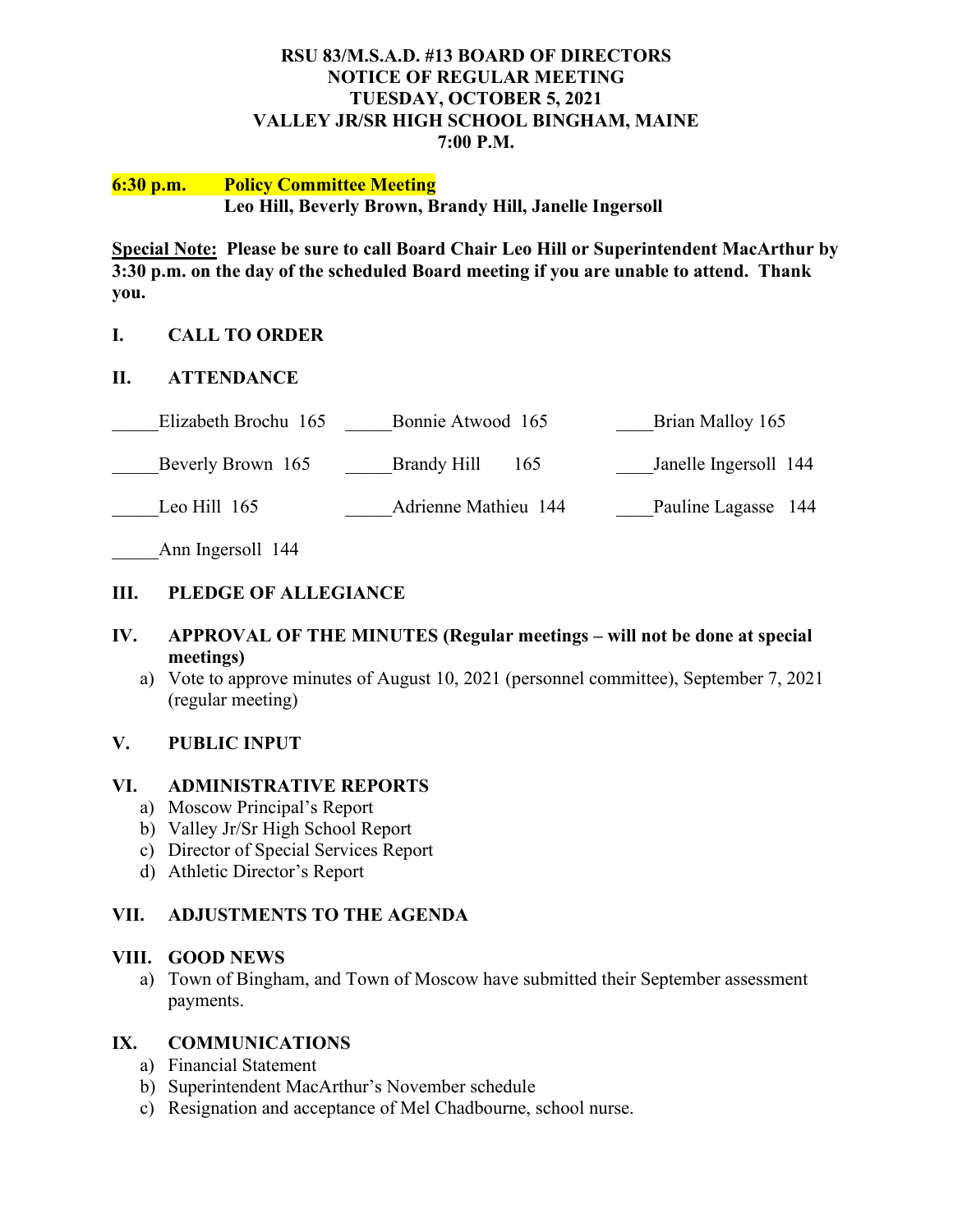#### **RSU 83/M.S.A.D. #13 BOARD OF DIRECTORS NOTICE OF REGULAR MEETING TUESDAY, OCTOBER 5, 2021 VALLEY JR/SR HIGH SCHOOL BINGHAM, MAINE 7:00 P.M.**

#### **6:30 p.m. Policy Committee Meeting Leo Hill, Beverly Brown, Brandy Hill, Janelle Ingersoll**

**Special Note: Please be sure to call Board Chair Leo Hill or Superintendent MacArthur by 3:30 p.m. on the day of the scheduled Board meeting if you are unable to attend. Thank you.**

## **I. CALL TO ORDER**

## **II. ATTENDANCE**

| Elizabeth Brochu 165 | Bonnie Atwood 165    | Brian Malloy 165      |
|----------------------|----------------------|-----------------------|
| Beverly Brown 165    | Brandy Hill<br>165   | Janelle Ingersoll 144 |
| Leo Hill 165         | Adrienne Mathieu 144 | Pauline Lagasse 144   |

Ann Ingersoll 144

# **III. PLEDGE OF ALLEGIANCE**

## **IV. APPROVAL OF THE MINUTES (Regular meetings – will not be done at special meetings)**

a) Vote to approve minutes of August 10, 2021 (personnel committee), September 7, 2021 (regular meeting)

## **V. PUBLIC INPUT**

## **VI. ADMINISTRATIVE REPORTS**

- a) Moscow Principal's Report
- b) Valley Jr/Sr High School Report
- c) Director of Special Services Report
- d) Athletic Director's Report

## **VII. ADJUSTMENTS TO THE AGENDA**

## **VIII. GOOD NEWS**

a) Town of Bingham, and Town of Moscow have submitted their September assessment payments.

## **IX. COMMUNICATIONS**

- a) Financial Statement
- b) Superintendent MacArthur's November schedule
- c) Resignation and acceptance of Mel Chadbourne, school nurse.